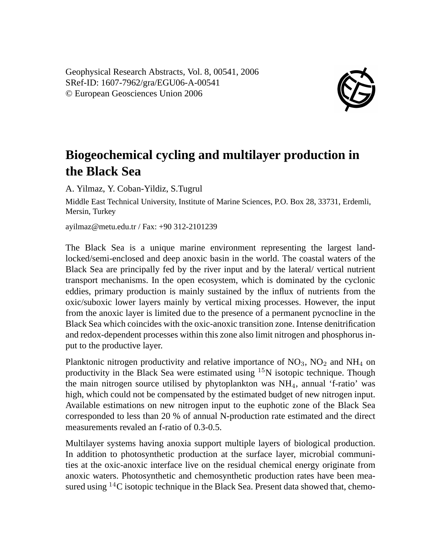Geophysical Research Abstracts, Vol. 8, 00541, 2006 SRef-ID: 1607-7962/gra/EGU06-A-00541 © European Geosciences Union 2006



## **Biogeochemical cycling and multilayer production in the Black Sea**

A. Yilmaz, Y. Coban-Yildiz, S.Tugrul

Middle East Technical University, Institute of Marine Sciences, P.O. Box 28, 33731, Erdemli, Mersin, Turkey

ayilmaz@metu.edu.tr / Fax: +90 312-2101239

The Black Sea is a unique marine environment representing the largest landlocked/semi-enclosed and deep anoxic basin in the world. The coastal waters of the Black Sea are principally fed by the river input and by the lateral/ vertical nutrient transport mechanisms. In the open ecosystem, which is dominated by the cyclonic eddies, primary production is mainly sustained by the influx of nutrients from the oxic/suboxic lower layers mainly by vertical mixing processes. However, the input from the anoxic layer is limited due to the presence of a permanent pycnocline in the Black Sea which coincides with the oxic-anoxic transition zone. Intense denitrification and redox-dependent processes within this zone also limit nitrogen and phosphorus input to the productive layer.

Planktonic nitrogen productivity and relative importance of  $NO<sub>3</sub>$ ,  $NO<sub>2</sub>$  and  $NH<sub>4</sub>$  on productivity in the Black Sea were estimated using  $15N$  isotopic technique. Though the main nitrogen source utilised by phytoplankton was NH4, annual 'f-ratio' was high, which could not be compensated by the estimated budget of new nitrogen input. Available estimations on new nitrogen input to the euphotic zone of the Black Sea corresponded to less than 20 % of annual N-production rate estimated and the direct measurements revaled an f-ratio of 0.3-0.5.

Multilayer systems having anoxia support multiple layers of biological production. In addition to photosynthetic production at the surface layer, microbial communities at the oxic-anoxic interface live on the residual chemical energy originate from anoxic waters. Photosynthetic and chemosynthetic production rates have been measured using  $14C$  isotopic technique in the Black Sea. Present data showed that, chemo-